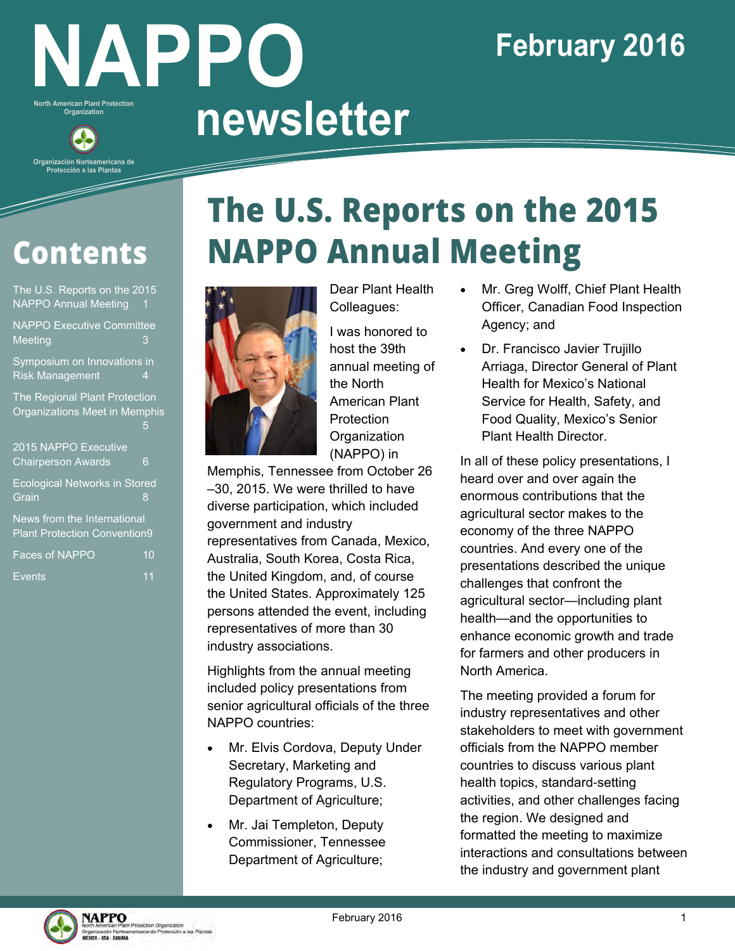# **NAPPO North American Plant Protection North American Plant Protection**<br>Organization **newsletter**

## **February 2016**

## **Contents**

**Organización Norteamericana d Protección a las Plantas**

| The U.S. Reports on the 2015<br><b>NAPPO Annual Meeting</b>               |    |
|---------------------------------------------------------------------------|----|
| <b>NAPPO Executive Committee</b><br><b>Meeting</b>                        | 3  |
| Symposium on Innovations in<br><b>Risk Management</b>                     | 4  |
| The Regional Plant Protection<br>Organizations Meet in Memphis            | 5  |
| 2015 NAPPO Executive<br><b>Chairperson Awards</b>                         | 6  |
| <b>Ecological Networks in Stored</b><br>Grain                             | 8  |
| <b>News from the International</b><br><b>Plant Protection Convention9</b> |    |
| <b>Faces of NAPPO</b>                                                     | 10 |

Events 11

# **The U.S. Reports on the 2015 NAPPO Annual Meeting**



Dear Plant Health Colleagues:

I was honored to host the 39th annual meeting of the North American Plant Protection **Organization** (NAPPO) in

Memphis, Tennessee from October 26 –30, 2015. We were thrilled to have diverse participation, which included government and industry representatives from Canada, Mexico, Australia, South Korea, Costa Rica, the United Kingdom, and, of course the United States. Approximately 125 persons attended the event, including representatives of more than 30 industry associations.

Highlights from the annual meeting included policy presentations from senior agricultural officials of the three NAPPO countries:

- Mr. Elvis Cordova, Deputy Under Secretary, Marketing and Regulatory Programs, U.S. Department of Agriculture;
- Mr. Jai Templeton, Deputy Commissioner, Tennessee Department of Agriculture;
- Mr. Greg Wolff, Chief Plant Health Officer, Canadian Food Inspection Agency; and
- Dr. Francisco Javier Trujillo Arriaga, Director General of Plant Health for Mexico's National Service for Health, Safety, and Food Quality, Mexico's Senior Plant Health Director.

In all of these policy presentations, I heard over and over again the enormous contributions that the agricultural sector makes to the economy of the three NAPPO countries. And every one of the presentations described the unique challenges that confront the agricultural sector—including plant health—and the opportunities to enhance economic growth and trade for farmers and other producers in North America.

The meeting provided a forum for industry representatives and other stakeholders to meet with government officials from the NAPPO member countries to discuss various plant health topics, standard-setting activities, and other challenges facing the region. We designed and formatted the meeting to maximize interactions and consultations between the industry and government plant

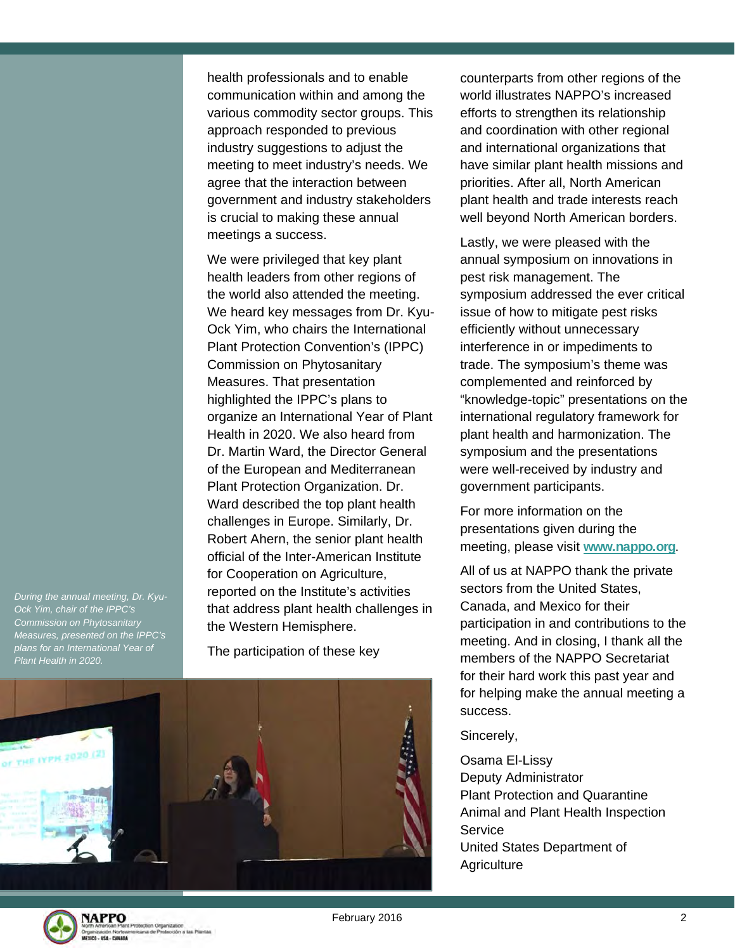health professionals and to enable communication within and among the various commodity sector groups. This approach responded to previous industry suggestions to adjust the meeting to meet industry's needs. We agree that the interaction between government and industry stakeholders is crucial to making these annual meetings a success.

We were privileged that key plant health leaders from other regions of the world also attended the meeting. We heard key messages from Dr. Kyu-Ock Yim, who chairs the International Plant Protection Convention's (IPPC) Commission on Phytosanitary Measures. That presentation highlighted the IPPC's plans to organize an International Year of Plant Health in 2020. We also heard from Dr. Martin Ward, the Director General of the European and Mediterranean Plant Protection Organization. Dr. Ward described the top plant health challenges in Europe. Similarly, Dr. Robert Ahern, the senior plant health official of the Inter-American Institute for Cooperation on Agriculture, reported on the Institute's activities that address plant health challenges in the Western Hemisphere.

The participation of these key



counterparts from other regions of the world illustrates NAPPO's increased efforts to strengthen its relationship and coordination with other regional and international organizations that have similar plant health missions and priorities. After all, North American plant health and trade interests reach well beyond North American borders.

Lastly, we were pleased with the annual symposium on innovations in pest risk management. The symposium addressed the ever critical issue of how to mitigate pest risks efficiently without unnecessary interference in or impediments to trade. The symposium's theme was complemented and reinforced by "knowledge-topic" presentations on the international regulatory framework for plant health and harmonization. The symposium and the presentations were well-received by industry and government participants.

For more information on the presentations given during the meeting, please visit **www.nappo.org**.

All of us at NAPPO thank the private sectors from the United States, Canada, and Mexico for their participation in and contributions to the meeting. And in closing, I thank all the members of the NAPPO Secretariat for their hard work this past year and for helping make the annual meeting a success.

Sincerely,

Osama El-Lissy Deputy Administrator Plant Protection and Quarantine Animal and Plant Health Inspection Service United States Department of **Agriculture** 

*During the annual meeting, Dr. Kyu-Ock Yim, chair of the IPPC's Commission on Phytosanitary Measures, presented on the IPPC's plans for an International Year of Plant Health in 2020.* 



February 2016 **2018**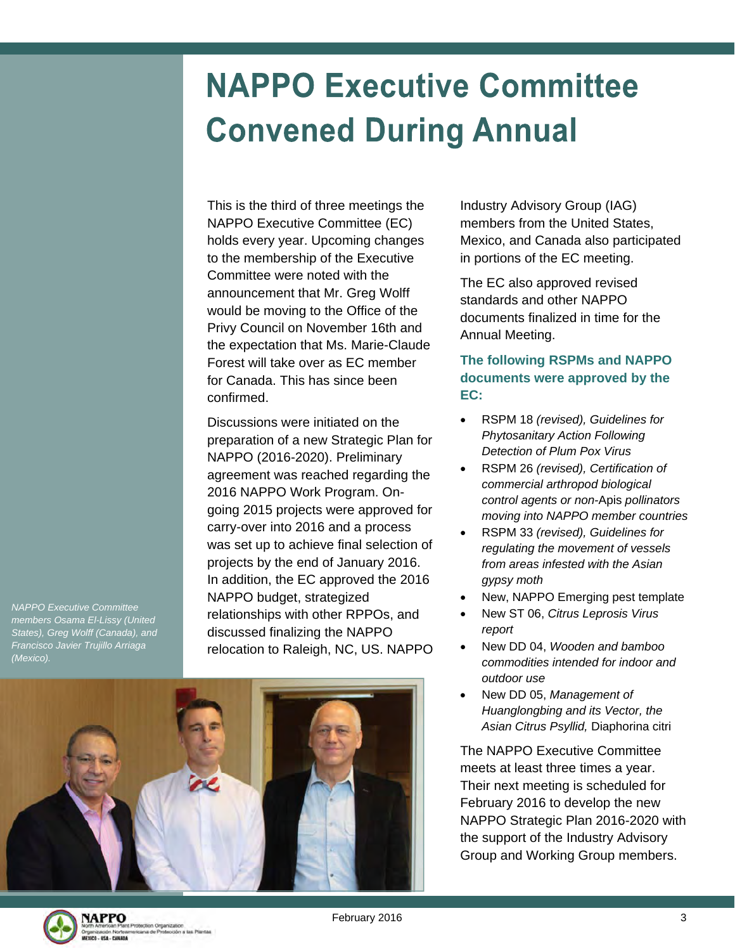# **NAPPO Executive Committee Convened During Annual**

This is the third of three meetings the NAPPO Executive Committee (EC) holds every year. Upcoming changes to the membership of the Executive Committee were noted with the announcement that Mr. Greg Wolff would be moving to the Office of the Privy Council on November 16th and the expectation that Ms. Marie-Claude Forest will take over as EC member for Canada. This has since been confirmed.

Discussions were initiated on the preparation of a new Strategic Plan for NAPPO (2016-2020). Preliminary agreement was reached regarding the 2016 NAPPO Work Program. Ongoing 2015 projects were approved for carry-over into 2016 and a process was set up to achieve final selection of projects by the end of January 2016. In addition, the EC approved the 2016 NAPPO budget, strategized relationships with other RPPOs, and discussed finalizing the NAPPO relocation to Raleigh, NC, US. NAPPO Industry Advisory Group (IAG) members from the United States, Mexico, and Canada also participated in portions of the EC meeting.

The EC also approved revised standards and other NAPPO documents finalized in time for the Annual Meeting.

#### **The following RSPMs and NAPPO documents were approved by the EC:**

- RSPM 18 *(revised), Guidelines for Phytosanitary Action Following Detection of Plum Pox Virus*
- RSPM 26 *(revised), Certification of commercial arthropod biological control agents or non-*Apis *pollinators moving into NAPPO member countries*
- RSPM 33 *(revised), Guidelines for regulating the movement of vessels from areas infested with the Asian gypsy moth*
- New, NAPPO Emerging pest template
- New ST 06, *Citrus Leprosis Virus report*
- New DD 04, *Wooden and bamboo commodities intended for indoor and outdoor use*
- New DD 05, *Management of Huanglongbing and its Vector, the Asian Citrus Psyllid,* Diaphorina citri

The NAPPO Executive Committee meets at least three times a year. Their next meeting is scheduled for February 2016 to develop the new NAPPO Strategic Plan 2016-2020 with the support of the Industry Advisory Group and Working Group members.

*NAPPO Executive Committee members Osama El-Lissy (United States), Greg Wolff (Canada), and Francisco Javier Trujillo Arriaga (Mexico).* 



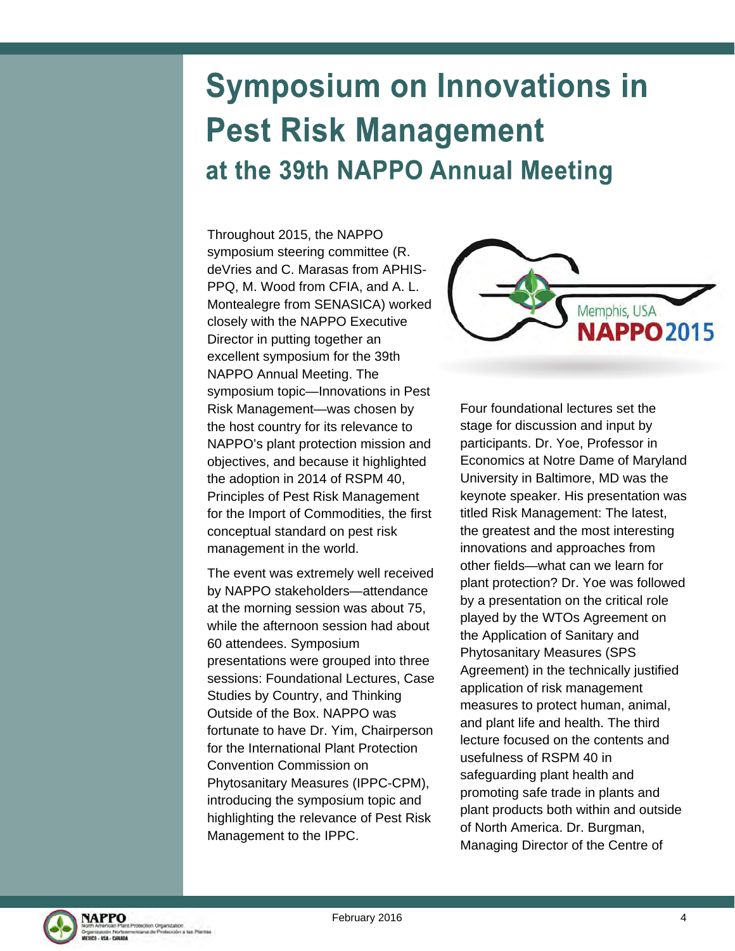## **Symposium on Innovations in Pest Risk Management** at the 39th NAPPO Annual Meeting

Throughout 2015, the NAPPO symposium steering committee (R. deVries and C. Marasas from APHIS-PPQ, M. Wood from CFIA, and A. L. Montealegre from SENASICA) worked closely with the NAPPO Executive Director in putting together an excellent symposium for the 39th NAPPO Annual Meeting. The symposium topic—Innovations in Pest Risk Management—was chosen by the host country for its relevance to NAPPO's plant protection mission and objectives, and because it highlighted the adoption in 2014 of RSPM 40, Principles of Pest Risk Management for the Import of Commodities, the first conceptual standard on pest risk management in the world.

The event was extremely well received by NAPPO stakeholders—attendance at the morning session was about 75, while the afternoon session had about 60 attendees. Symposium presentations were grouped into three sessions: Foundational Lectures, Case Studies by Country, and Thinking Outside of the Box. NAPPO was fortunate to have Dr. Yim, Chairperson for the International Plant Protection Convention Commission on Phytosanitary Measures (IPPC-CPM), introducing the symposium topic and highlighting the relevance of Pest Risk Management to the IPPC.



Four foundational lectures set the stage for discussion and input by participants. Dr. Yoe, Professor in Economics at Notre Dame of Maryland University in Baltimore, MD was the keynote speaker. His presentation was titled Risk Management: The latest, the greatest and the most interesting innovations and approaches from other fields—what can we learn for plant protection? Dr. Yoe was followed by a presentation on the critical role played by the WTOs Agreement on the Application of Sanitary and Phytosanitary Measures (SPS Agreement) in the technically justified application of risk management measures to protect human, animal, and plant life and health. The third lecture focused on the contents and usefulness of RSPM 40 in safeguarding plant health and promoting safe trade in plants and plant products both within and outside of North America. Dr. Burgman, Managing Director of the Centre of

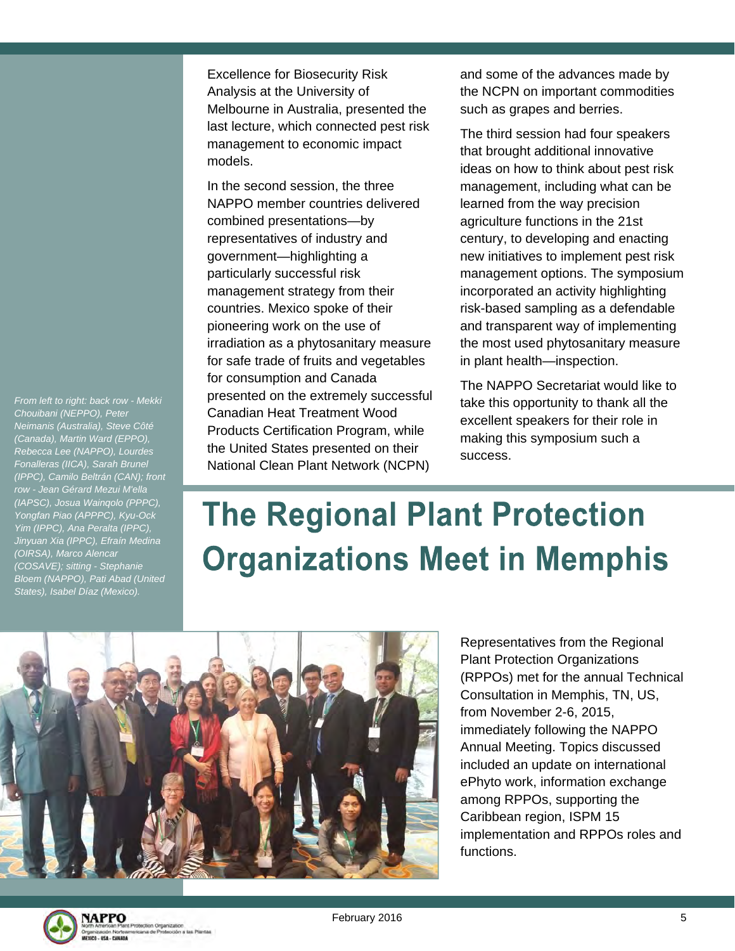Excellence for Biosecurity Risk Analysis at the University of Melbourne in Australia, presented the last lecture, which connected pest risk management to economic impact models.

In the second session, the three NAPPO member countries delivered combined presentations—by representatives of industry and government—highlighting a particularly successful risk management strategy from their countries. Mexico spoke of their pioneering work on the use of irradiation as a phytosanitary measure for safe trade of fruits and vegetables for consumption and Canada presented on the extremely successful Canadian Heat Treatment Wood Products Certification Program, while the United States presented on their National Clean Plant Network (NCPN)

and some of the advances made by the NCPN on important commodities such as grapes and berries.

The third session had four speakers that brought additional innovative ideas on how to think about pest risk management, including what can be learned from the way precision agriculture functions in the 21st century, to developing and enacting new initiatives to implement pest risk management options. The symposium incorporated an activity highlighting risk-based sampling as a defendable and transparent way of implementing the most used phytosanitary measure in plant health—inspection.

The NAPPO Secretariat would like to take this opportunity to thank all the excellent speakers for their role in making this symposium such a success.

# **The Regional Plant Protection Organizations Meet in Memphis**



Representatives from the Regional Plant Protection Organizations (RPPOs) met for the annual Technical Consultation in Memphis, TN, US, from November 2-6, 2015, immediately following the NAPPO Annual Meeting. Topics discussed included an update on international ePhyto work, information exchange among RPPOs, supporting the Caribbean region, ISPM 15 implementation and RPPOs roles and functions.



*From left to right: back row - Mekki Chouibani (NEPPO), Peter Neimanis (Australia), Steve Côté (Canada), Martin Ward (EPPO), Rebecca Lee (NAPPO), Lourdes Fonalleras (IICA), Sarah Brunel (IPPC), Camilo Beltrán (CAN); front row - Jean Gérard Mezui M'ella (IAPSC), Josua Wainqolo (PPPC), Yongfan Piao (APPPC), Kyu-Ock Yim (IPPC), Ana Peralta (IPPC), Jinyuan Xia (IPPC), Efraín Medina* 

*(OIRSA), Marco Alencar (COSAVE); sitting - Stephanie Bloem (NAPPO), Pati Abad (United States), Isabel Díaz (Mexico).* 

February 2016 **5**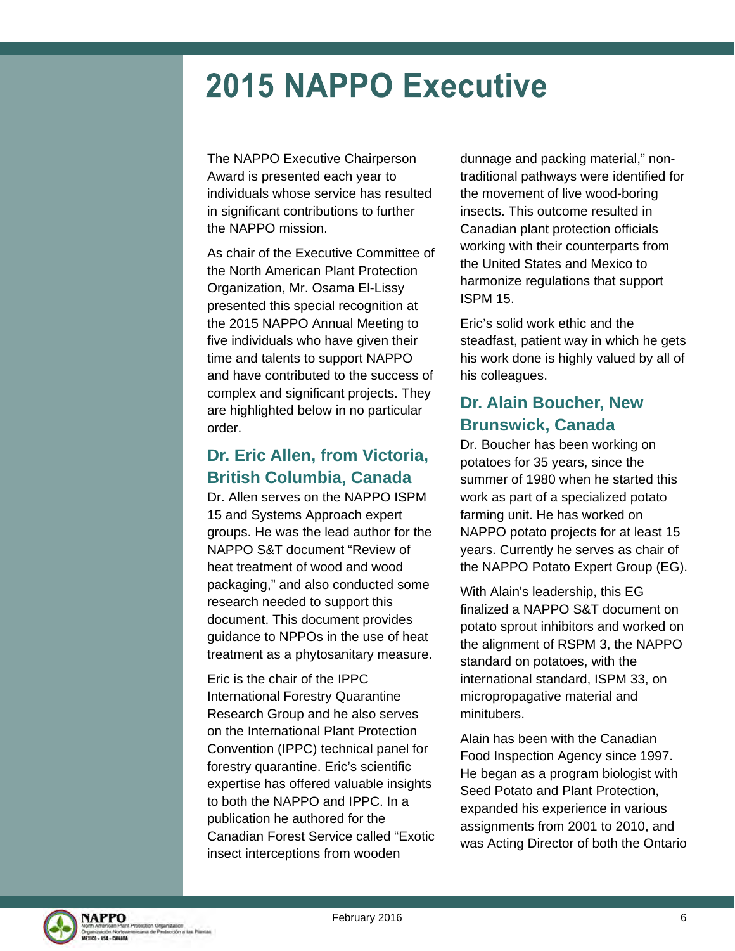### **2015 NAPPO Executive**

The NAPPO Executive Chairperson Award is presented each year to individuals whose service has resulted in significant contributions to further the NAPPO mission.

As chair of the Executive Committee of the North American Plant Protection Organization, Mr. Osama El-Lissy presented this special recognition at the 2015 NAPPO Annual Meeting to five individuals who have given their time and talents to support NAPPO and have contributed to the success of complex and significant projects. They are highlighted below in no particular order.

#### **Dr. Eric Allen, from Victoria, British Columbia, Canada**

Dr. Allen serves on the NAPPO ISPM 15 and Systems Approach expert groups. He was the lead author for the NAPPO S&T document "Review of heat treatment of wood and wood packaging," and also conducted some research needed to support this document. This document provides guidance to NPPOs in the use of heat treatment as a phytosanitary measure.

Eric is the chair of the IPPC International Forestry Quarantine Research Group and he also serves on the International Plant Protection Convention (IPPC) technical panel for forestry quarantine. Eric's scientific expertise has offered valuable insights to both the NAPPO and IPPC. In a publication he authored for the Canadian Forest Service called "Exotic insect interceptions from wooden

dunnage and packing material," nontraditional pathways were identified for the movement of live wood-boring insects. This outcome resulted in Canadian plant protection officials working with their counterparts from the United States and Mexico to harmonize regulations that support ISPM 15.

Eric's solid work ethic and the steadfast, patient way in which he gets his work done is highly valued by all of his colleagues.

### **Dr. Alain Boucher, New Brunswick, Canada**

Dr. Boucher has been working on potatoes for 35 years, since the summer of 1980 when he started this work as part of a specialized potato farming unit. He has worked on NAPPO potato projects for at least 15 years. Currently he serves as chair of the NAPPO Potato Expert Group (EG).

With Alain's leadership, this EG finalized a NAPPO S&T document on potato sprout inhibitors and worked on the alignment of RSPM 3, the NAPPO standard on potatoes, with the international standard, ISPM 33, on micropropagative material and minitubers.

Alain has been with the Canadian Food Inspection Agency since 1997. He began as a program biologist with Seed Potato and Plant Protection, expanded his experience in various assignments from 2001 to 2010, and was Acting Director of both the Ontario

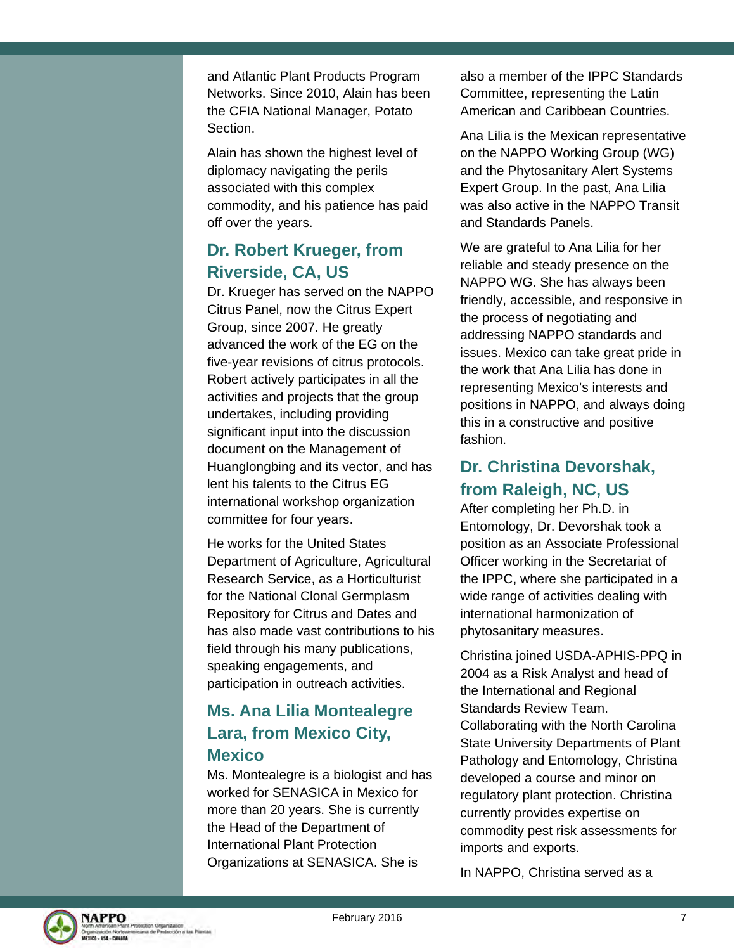and Atlantic Plant Products Program Networks. Since 2010, Alain has been the CFIA National Manager, Potato Section.

Alain has shown the highest level of diplomacy navigating the perils associated with this complex commodity, and his patience has paid off over the years.

### **Dr. Robert Krueger, from Riverside, CA, US**

Dr. Krueger has served on the NAPPO Citrus Panel, now the Citrus Expert Group, since 2007. He greatly advanced the work of the EG on the five-year revisions of citrus protocols. Robert actively participates in all the activities and projects that the group undertakes, including providing significant input into the discussion document on the Management of Huanglongbing and its vector, and has lent his talents to the Citrus EG international workshop organization committee for four years.

He works for the United States Department of Agriculture, Agricultural Research Service, as a Horticulturist for the National Clonal Germplasm Repository for Citrus and Dates and has also made vast contributions to his field through his many publications, speaking engagements, and participation in outreach activities.

#### **Ms. Ana Lilia Montealegre Lara, from Mexico City, Mexico**

Ms. Montealegre is a biologist and has worked for SENASICA in Mexico for more than 20 years. She is currently the Head of the Department of International Plant Protection Organizations at SENASICA. She is

also a member of the IPPC Standards Committee, representing the Latin American and Caribbean Countries.

Ana Lilia is the Mexican representative on the NAPPO Working Group (WG) and the Phytosanitary Alert Systems Expert Group. In the past, Ana Lilia was also active in the NAPPO Transit and Standards Panels.

We are grateful to Ana Lilia for her reliable and steady presence on the NAPPO WG. She has always been friendly, accessible, and responsive in the process of negotiating and addressing NAPPO standards and issues. Mexico can take great pride in the work that Ana Lilia has done in representing Mexico's interests and positions in NAPPO, and always doing this in a constructive and positive fashion.

#### **Dr. Christina Devorshak, from Raleigh, NC, US**

After completing her Ph.D. in Entomology, Dr. Devorshak took a position as an Associate Professional Officer working in the Secretariat of the IPPC, where she participated in a wide range of activities dealing with international harmonization of phytosanitary measures.

Christina joined USDA-APHIS-PPQ in 2004 as a Risk Analyst and head of the International and Regional Standards Review Team. Collaborating with the North Carolina State University Departments of Plant Pathology and Entomology, Christina developed a course and minor on regulatory plant protection. Christina currently provides expertise on commodity pest risk assessments for imports and exports.

In NAPPO, Christina served as a

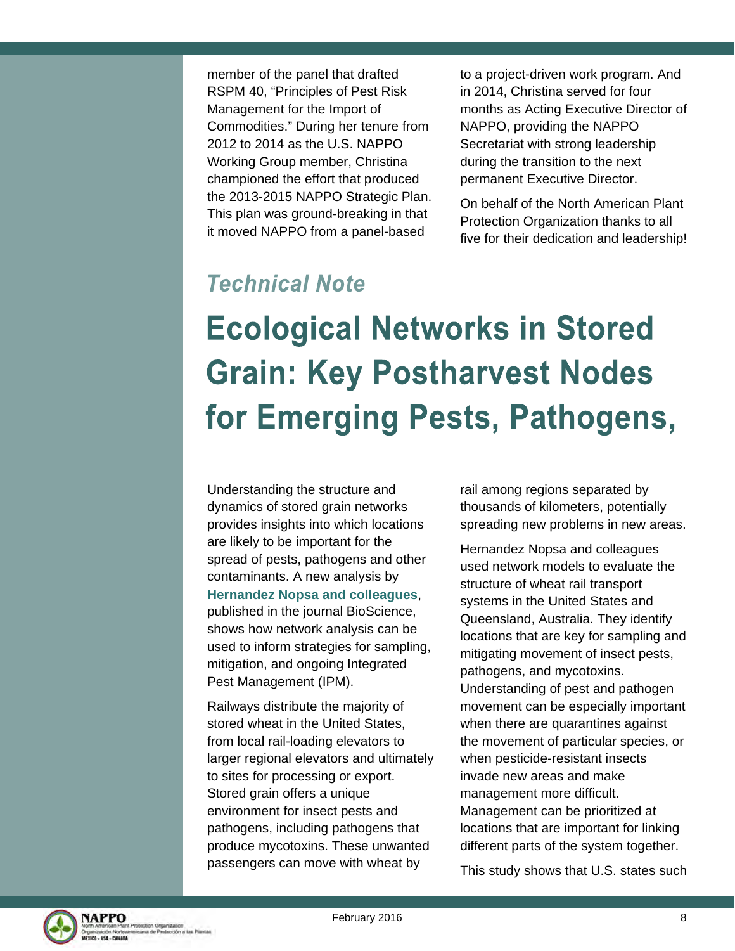member of the panel that drafted RSPM 40, "Principles of Pest Risk Management for the Import of Commodities." During her tenure from 2012 to 2014 as the U.S. NAPPO Working Group member, Christina championed the effort that produced the 2013-2015 NAPPO Strategic Plan. This plan was ground-breaking in that it moved NAPPO from a panel-based

to a project-driven work program. And in 2014, Christina served for four months as Acting Executive Director of NAPPO, providing the NAPPO Secretariat with strong leadership during the transition to the next permanent Executive Director.

On behalf of the North American Plant Protection Organization thanks to all five for their dedication and leadership!

### **Technical Note**

# **Ecological Networks in Stored Grain: Key Postharvest Nodes** for Emerging Pests, Pathogens,

Understanding the structure and dynamics of stored grain networks provides insights into which locations are likely to be important for the spread of pests, pathogens and other contaminants. A new analysis by **Hernandez Nopsa and colleagues**, published in the journal BioScience, shows how network analysis can be used to inform strategies for sampling, mitigation, and ongoing Integrated Pest Management (IPM).

Railways distribute the majority of stored wheat in the United States, from local rail-loading elevators to larger regional elevators and ultimately to sites for processing or export. Stored grain offers a unique environment for insect pests and pathogens, including pathogens that produce mycotoxins. These unwanted passengers can move with wheat by

rail among regions separated by thousands of kilometers, potentially spreading new problems in new areas.

Hernandez Nopsa and colleagues used network models to evaluate the structure of wheat rail transport systems in the United States and Queensland, Australia. They identify locations that are key for sampling and mitigating movement of insect pests, pathogens, and mycotoxins. Understanding of pest and pathogen movement can be especially important when there are quarantines against the movement of particular species, or when pesticide-resistant insects invade new areas and make management more difficult. Management can be prioritized at locations that are important for linking different parts of the system together.

This study shows that U.S. states such

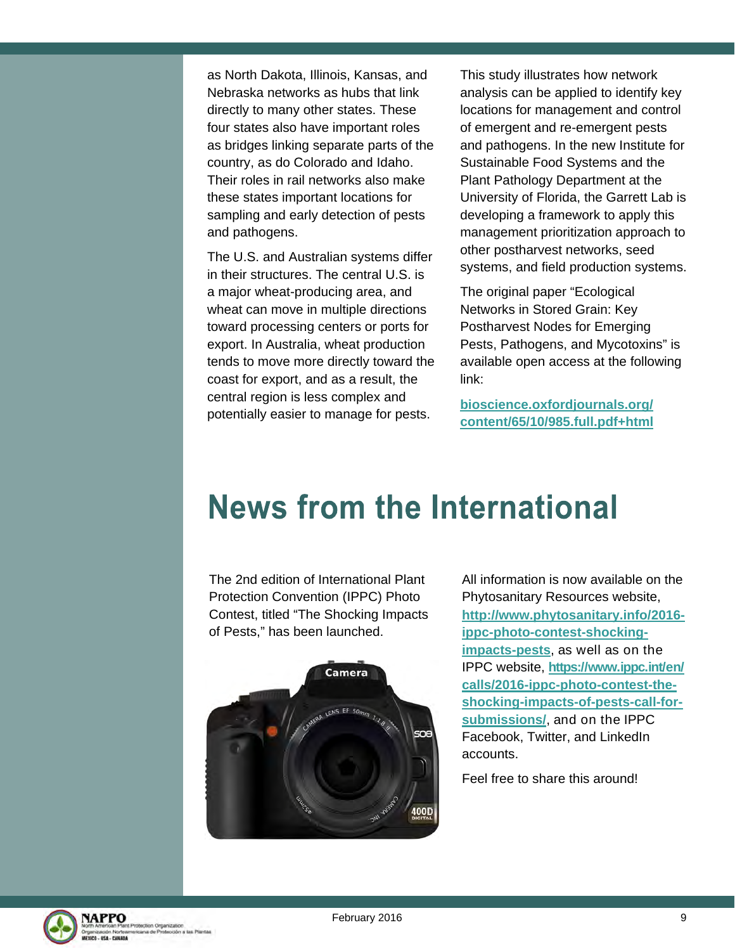as North Dakota, Illinois, Kansas, and Nebraska networks as hubs that link directly to many other states. These four states also have important roles as bridges linking separate parts of the country, as do Colorado and Idaho. Their roles in rail networks also make these states important locations for sampling and early detection of pests and pathogens.

The U.S. and Australian systems differ in their structures. The central U.S. is a major wheat-producing area, and wheat can move in multiple directions toward processing centers or ports for export. In Australia, wheat production tends to move more directly toward the coast for export, and as a result, the central region is less complex and potentially easier to manage for pests.

This study illustrates how network analysis can be applied to identify key locations for management and control of emergent and re-emergent pests and pathogens. In the new Institute for Sustainable Food Systems and the Plant Pathology Department at the University of Florida, the Garrett Lab is developing a framework to apply this management prioritization approach to other postharvest networks, seed systems, and field production systems.

The original paper "Ecological Networks in Stored Grain: Key Postharvest Nodes for Emerging Pests, Pathogens, and Mycotoxins" is available open access at the following link:

**bioscience.oxfordjournals.org/ content/65/10/985.full.pdf+html** 

### **News from the International**

The 2nd edition of International Plant Protection Convention (IPPC) Photo Contest, titled "The Shocking Impacts of Pests," has been launched.



All information is now available on the Phytosanitary Resources website, **http://www.phytosanitary.info/2016 ippc-photo-contest-shockingimpacts-pests**, as well as on the IPPC website, **https://www.ippc.int/en/ calls/2016-ippc-photo-contest-theshocking-impacts-of-pests-call-forsubmissions/**, and on the IPPC Facebook, Twitter, and LinkedIn accounts.

Feel free to share this around!

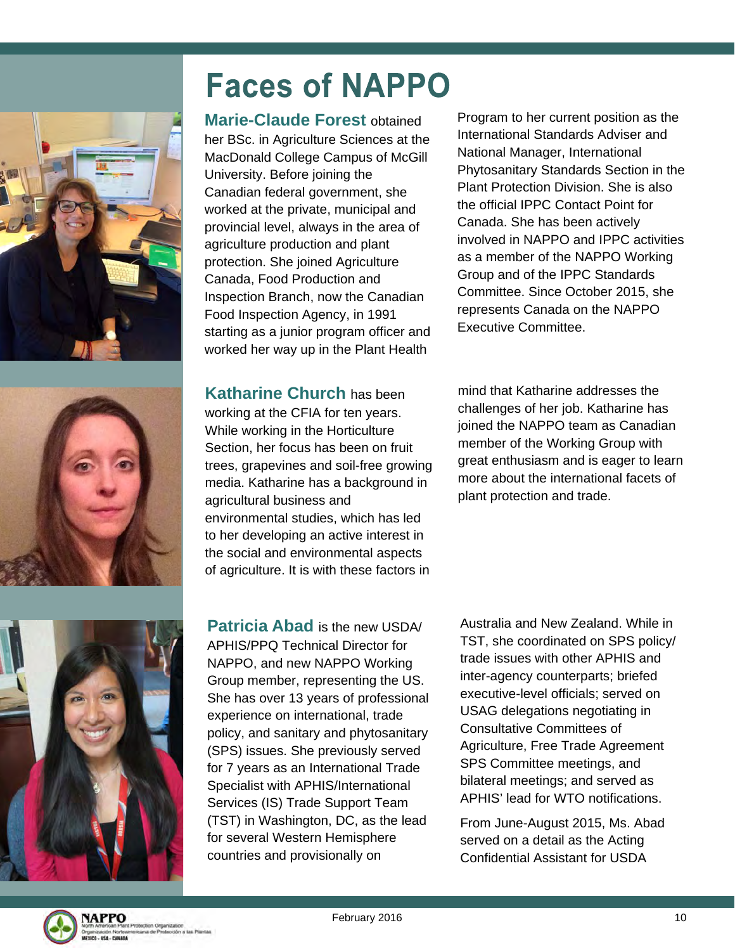



**Marie-Claude Forest** obtained her BSc. in Agriculture Sciences at the MacDonald College Campus of McGill University. Before joining the Canadian federal government, she worked at the private, municipal and provincial level, always in the area of agriculture production and plant protection. She joined Agriculture Canada, Food Production and Inspection Branch, now the Canadian Food Inspection Agency, in 1991 starting as a junior program officer and worked her way up in the Plant Health

Program to her current position as the International Standards Adviser and National Manager, International Phytosanitary Standards Section in the Plant Protection Division. She is also the official IPPC Contact Point for Canada. She has been actively involved in NAPPO and IPPC activities as a member of the NAPPO Working Group and of the IPPC Standards Committee. Since October 2015, she represents Canada on the NAPPO Executive Committee.



mind that Katharine addresses the challenges of her job. Katharine has joined the NAPPO team as Canadian member of the Working Group with great enthusiasm and is eager to learn more about the international facets of plant protection and trade.



**Patricia Abad** is the new USDA/ APHIS/PPQ Technical Director for NAPPO, and new NAPPO Working Group member, representing the US. She has over 13 years of professional experience on international, trade policy, and sanitary and phytosanitary (SPS) issues. She previously served for 7 years as an International Trade Specialist with APHIS/International Services (IS) Trade Support Team (TST) in Washington, DC, as the lead for several Western Hemisphere countries and provisionally on

Australia and New Zealand. While in TST, she coordinated on SPS policy/ trade issues with other APHIS and inter-agency counterparts; briefed executive-level officials; served on USAG delegations negotiating in Consultative Committees of Agriculture, Free Trade Agreement SPS Committee meetings, and bilateral meetings; and served as APHIS' lead for WTO notifications.

From June-August 2015, Ms. Abad served on a detail as the Acting Confidential Assistant for USDA